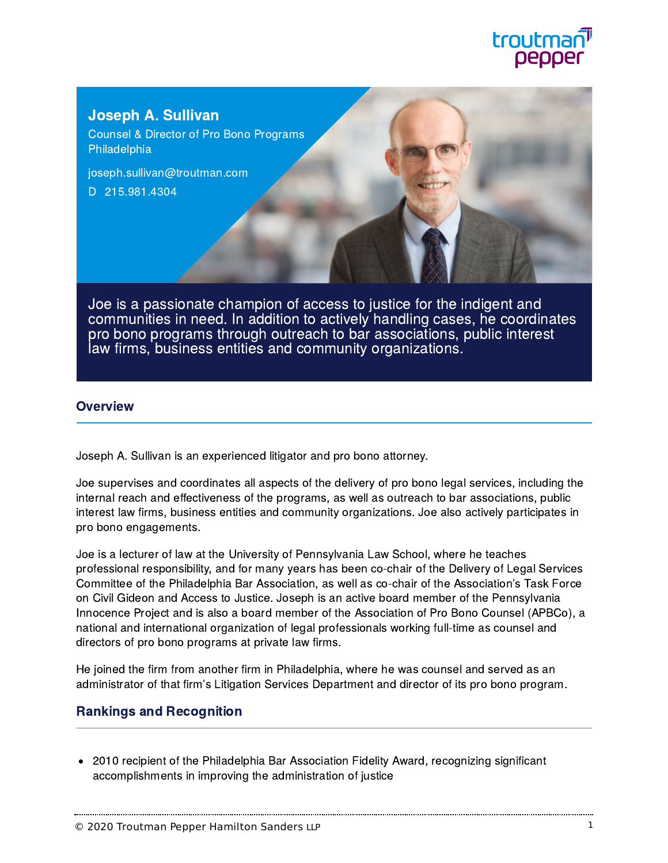

# Joseph A. Sullivan

Counsel & Director of Pro Bono Programs **[Philadelphia](https://www.troutman.com/offices/philadelphia-pa.html)** 

[joseph.sullivan@troutman.com](mailto:joseph.sullivan@troutman.com) D [215.981.4304](tel:215.981.4304)

Joe is a passionate champion of access to justice for the indigent and communities in need. In addition to actively handling cases, he coordinates pro bono programs through outreach to bar associations, public interest law firms, business entities and community organizations.

#### **Overview**

Joseph A. Sullivan is an experienced litigator and pro bono attorney.

Joe supervises and coordinates all aspects of the delivery of pro bono legal services, including the internal reach and effectiveness of the programs, as well as outreach to bar associations, public interest law firms, business entities and community organizations. Joe also actively participates in pro bono engagements.

Joe is a lecturer of law at the University of Pennsylvania Law School, where he teaches professional responsibility, and for many years has been co-chair of the Delivery of Legal Services Joe is a lecturer of law at the University of Pennsylvania Law School, where he teaches<br>professional responsibility, and for many years has been co-chair of the Delivery of Legal Services<br>Committee of the Philadelphia Bar on Civil Gideon and Access to Justice. Joseph is an active board member of the Pennsylvania Innocence Project and is also a board member of the Association of Pro Bono Counsel (APBCo), a national and international organization of legal professionals working full-time as counsel and directors of pro bono programs at private law firms.

He joined the firm from another firm in Philadelphia, where he was counsel and served as an administrator of that firm's Litigation Services Department and director of its pro bono program.

#### Rankings and Recognition

2010 recipient of the Philadelphia Bar Association Fidelity Award, recognizing significant accomplishments in improving the administration of justice